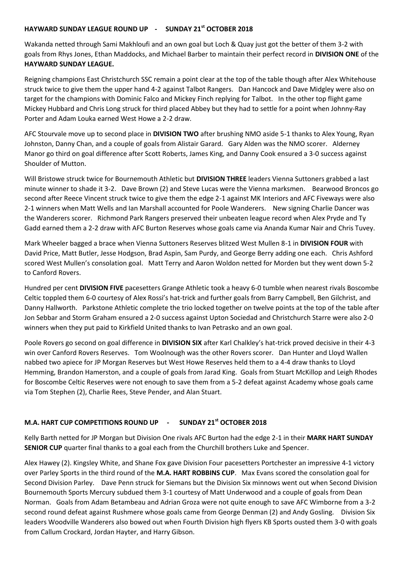## **HAYWARD SUNDAY LEAGUE ROUND UP - SUNDAY 21st OCTOBER 2018**

Wakanda netted through Sami Makhloufi and an own goal but Loch & Quay just got the better of them 3-2 with goals from Rhys Jones, Ethan Maddocks, and Michael Barber to maintain their perfect record in **DIVISION ONE** of the **HAYWARD SUNDAY LEAGUE.**

Reigning champions East Christchurch SSC remain a point clear at the top of the table though after Alex Whitehouse struck twice to give them the upper hand 4-2 against Talbot Rangers. Dan Hancock and Dave Midgley were also on target for the champions with Dominic Falco and Mickey Finch replying for Talbot. In the other top flight game Mickey Hubbard and Chris Long struck for third placed Abbey but they had to settle for a point when Johnny-Ray Porter and Adam Louka earned West Howe a 2-2 draw.

AFC Stourvale move up to second place in **DIVISION TWO** after brushing NMO aside 5-1 thanks to Alex Young, Ryan Johnston, Danny Chan, and a couple of goals from Alistair Garard. Gary Alden was the NMO scorer. Alderney Manor go third on goal difference after Scott Roberts, James King, and Danny Cook ensured a 3-0 success against Shoulder of Mutton.

Will Bristowe struck twice for Bournemouth Athletic but **DIVISION THREE** leaders Vienna Suttoners grabbed a last minute winner to shade it 3-2. Dave Brown (2) and Steve Lucas were the Vienna marksmen. Bearwood Broncos go second after Reece Vincent struck twice to give them the edge 2-1 against MK Interiors and AFC Fiveways were also 2-1 winners when Matt Wells and Ian Marshall accounted for Poole Wanderers. New signing Charlie Dancer was the Wanderers scorer. Richmond Park Rangers preserved their unbeaten league record when Alex Pryde and Ty Gadd earned them a 2-2 draw with AFC Burton Reserves whose goals came via Ananda Kumar Nair and Chris Tuvey.

Mark Wheeler bagged a brace when Vienna Suttoners Reserves blitzed West Mullen 8-1 in **DIVISION FOUR** with David Price, Matt Butler, Jesse Hodgson, Brad Aspin, Sam Purdy, and George Berry adding one each. Chris Ashford scored West Mullen's consolation goal. Matt Terry and Aaron Woldon netted for Morden but they went down 5-2 to Canford Rovers.

Hundred per cent **DIVISION FIVE** pacesetters Grange Athletic took a heavy 6-0 tumble when nearest rivals Boscombe Celtic toppled them 6-0 courtesy of Alex Rossi's hat-trick and further goals from Barry Campbell, Ben Gilchrist, and Danny Hallworth. Parkstone Athletic complete the trio locked together on twelve points at the top of the table after Jon Sebbar and Storm Graham ensured a 2-0 success against Upton Sociedad and Christchurch Starre were also 2-0 winners when they put paid to Kirkfield United thanks to Ivan Petrasko and an own goal.

Poole Rovers go second on goal difference in **DIVISION SIX** after Karl Chalkley's hat-trick proved decisive in their 4-3 win over Canford Rovers Reserves. Tom Woolnough was the other Rovers scorer. Dan Hunter and Lloyd Wallen nabbed two apiece for JP Morgan Reserves but West Howe Reserves held them to a 4-4 draw thanks to Lloyd Hemming, Brandon Hamerston, and a couple of goals from Jarad King. Goals from Stuart McKillop and Leigh Rhodes for Boscombe Celtic Reserves were not enough to save them from a 5-2 defeat against Academy whose goals came via Tom Stephen (2), Charlie Rees, Steve Pender, and Alan Stuart.

## **M.A. HART CUP COMPETITIONS ROUND UP - SUNDAY 21st OCTOBER 2018**

Kelly Barth netted for JP Morgan but Division One rivals AFC Burton had the edge 2-1 in their **MARK HART SUNDAY SENIOR CUP** quarter final thanks to a goal each from the Churchill brothers Luke and Spencer.

Alex Hawey (2). Kingsley White, and Shane Fox gave Division Four pacesetters Portchester an impressive 4-1 victory over Parley Sports in the third round of the **M.A. HART ROBBINS CUP**. Max Evans scored the consolation goal for Second Division Parley. Dave Penn struck for Siemans but the Division Six minnows went out when Second Division Bournemouth Sports Mercury subdued them 3-1 courtesy of Matt Underwood and a couple of goals from Dean Norman. Goals from Adam Betambeau and Adrian Groza were not quite enough to save AFC Wimborne from a 3-2 second round defeat against Rushmere whose goals came from George Denman (2) and Andy Gosling. Division Six leaders Woodville Wanderers also bowed out when Fourth Division high flyers KB Sports ousted them 3-0 with goals from Callum Crockard, Jordan Hayter, and Harry Gibson.